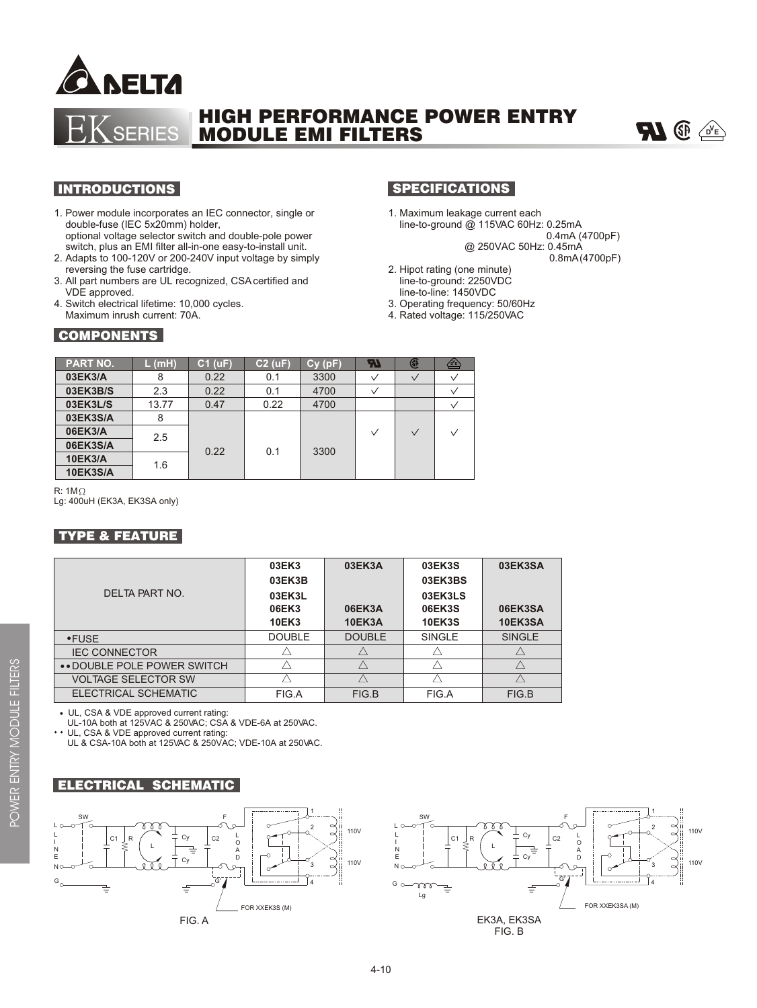

# HIGH PERFORMANCE POWER ENTRY MODULE EMI FILTERS



#### INTRODUCTIONS

- 1. Power module incorporates an IEC connector, single or double-fuse (IEC 5x20mm) holder, optional voltage selector switch and double-pole power switch, plus an EMI filter all-in-one easy-to-install unit.
- 2. Adapts to 100-120V or 200-240V input voltage by simply reversing the fuse cartridge.
- 3. All part numbers are UL recognized, CSA certified and VDE approved.
- 4. Switch electrical lifetime: 10,000 cycles. Maximum inrush current: 70A.

ERIES

### **SPECIFICATIONS**

1. Maximum leakage current each line-to-ground @ 115VAC 60Hz: 0.25mA

0.4mA (4700pF)

 @ 250VAC 50Hz: 0.45mA 0.8mA (4700pF)

- 2. Hipot rating (one minute) line-to-ground: 2250VDC line-to-line: 1450VDC
- 3. Operating frequency: 50/60Hz
- 4. Rated voltage: 115/250VAC

| <b>COMPONENTS</b> |
|-------------------|
|-------------------|

| <b>PART NO.</b> | L(mH) | $C1$ (uF) | $C2$ (uF) | Cy(pF) | 74     | GP           | $\sqrt{D'E}$ |
|-----------------|-------|-----------|-----------|--------|--------|--------------|--------------|
| 03EK3/A         | 8     | 0.22      | 0.1       | 3300   | $\vee$ | $\checkmark$ | $\checkmark$ |
| 03EK3B/S        | 2.3   | 0.22      | 0.1       | 4700   |        |              | $\checkmark$ |
| 03EK3L/S        | 13.77 | 0.47      | 0.22      | 4700   |        |              | $\checkmark$ |
| 03EK3S/A        | 8     |           |           |        |        |              |              |
| 06EK3/A         | 2.5   | 0.22      | 0.1       | 3300   | $\vee$ | $\vee$       | $\vee$       |
| 06EK3S/A        |       |           |           |        |        |              |              |
| <b>10EK3/A</b>  | 1.6   |           |           |        |        |              |              |
| <b>10EK3S/A</b> |       |           |           |        |        |              |              |

R:  $1M\Omega$ Lg: 400uH (EK3A, EK3SA only)

### TYPE & FEATURE

|                              | 03EK3         | 03EK3A        | 03EK3S        | 03EK3SA       |
|------------------------------|---------------|---------------|---------------|---------------|
|                              | 03EK3B        |               | 03EK3BS       |               |
| DEI TA PART NO.              | 03EK3L        |               | 03EK3LS       |               |
|                              | 06EK3         | 06EK3A        | 06EK3S        | 06EK3SA       |
|                              | 10EK3         | <b>10EK3A</b> | <b>10EK3S</b> | 10EK3SA       |
| $\cdot$ FUSE                 | <b>DOUBLE</b> | <b>DOUBLE</b> | <b>SINGLE</b> | <b>SINGLE</b> |
| <b>IEC CONNECTOR</b>         |               |               |               |               |
| • • DOUBLE POLE POWER SWITCH |               |               |               |               |
| <b>VOLTAGE SELECTOR SW</b>   |               |               |               |               |
| ELECTRICAL SCHEMATIC         | FIG.A         | FIG.B         | FIG.A         | FIG.B         |
|                              |               |               |               |               |

UL, CSA & VDE approved current rating:

UL-10A both at 125VAC & 250VAC; CSA & VDE-6A at 250VAC.<br>
•• UL CSA & VDE approved current rating:

UL, CSA & VDE approved current rating:

UL & CSA-10A both at 125VAC & 250VAC; VDE-10A at 250VAC.





 $\Omega^-$